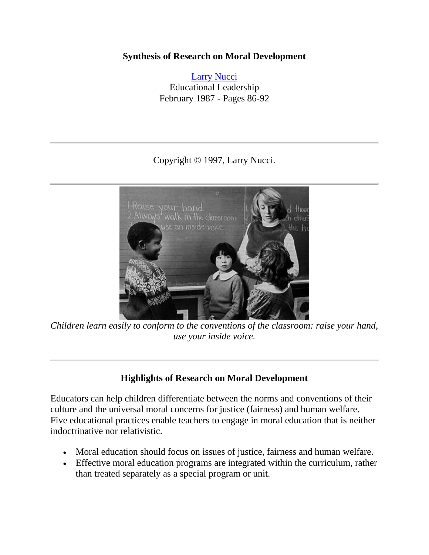#### **Synthesis of Research on Moral Development**

[Larry Nucci](mailto:lnucci@uic.edu) Educational Leadership February 1987 - Pages 86-92

Copyright © 1997, Larry Nucci.



*Children learn easily to conform to the conventions of the classroom: raise your hand, use your inside voice.*

### **Highlights of Research on Moral Development**

Educators can help children differentiate between the norms and conventions of their culture and the universal moral concerns for justice (fairness) and human welfare. Five educational practices enable teachers to engage in moral education that is neither indoctrinative nor relativistic.

- Moral education should focus on issues of justice, fairness and human welfare.
- Effective moral education programs are integrated within the curriculum, rather than treated separately as a special program or unit.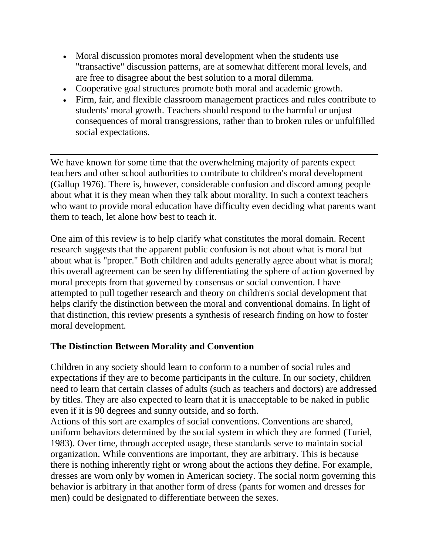- Moral discussion promotes moral development when the students use "transactive" discussion patterns, are at somewhat different moral levels, and are free to disagree about the best solution to a moral dilemma.
- Cooperative goal structures promote both moral and academic growth.
- Firm, fair, and flexible classroom management practices and rules contribute to students' moral growth. Teachers should respond to the harmful or unjust consequences of moral transgressions, rather than to broken rules or unfulfilled social expectations.

We have known for some time that the overwhelming majority of parents expect teachers and other school authorities to contribute to children's moral development (Gallup 1976). There is, however, considerable confusion and discord among people about what it is they mean when they talk about morality. In such a context teachers who want to provide moral education have difficulty even deciding what parents want them to teach, let alone how best to teach it.

One aim of this review is to help clarify what constitutes the moral domain. Recent research suggests that the apparent public confusion is not about what is moral but about what is "proper." Both children and adults generally agree about what is moral; this overall agreement can be seen by differentiating the sphere of action governed by moral precepts from that governed by consensus or social convention. I have attempted to pull together research and theory on children's social development that helps clarify the distinction between the moral and conventional domains. In light of that distinction, this review presents a synthesis of research finding on how to foster moral development.

# **The Distinction Between Morality and Convention**

Children in any society should learn to conform to a number of social rules and expectations if they are to become participants in the culture. In our society, children need to learn that certain classes of adults (such as teachers and doctors) are addressed by titles. They are also expected to learn that it is unacceptable to be naked in public even if it is 90 degrees and sunny outside, and so forth.

Actions of this sort are examples of social conventions. Conventions are shared, uniform behaviors determined by the social system in which they are formed (Turiel, 1983). Over time, through accepted usage, these standards serve to maintain social organization. While conventions are important, they are arbitrary. This is because there is nothing inherently right or wrong about the actions they define. For example, dresses are worn only by women in American society. The social norm governing this behavior is arbitrary in that another form of dress (pants for women and dresses for men) could be designated to differentiate between the sexes.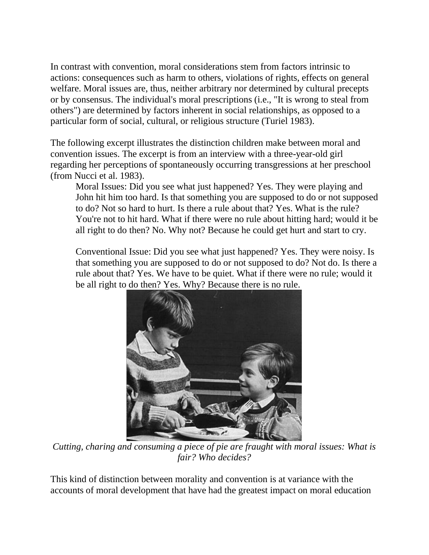In contrast with convention, moral considerations stem from factors intrinsic to actions: consequences such as harm to others, violations of rights, effects on general welfare. Moral issues are, thus, neither arbitrary nor determined by cultural precepts or by consensus. The individual's moral prescriptions (i.e., "It is wrong to steal from others") are determined by factors inherent in social relationships, as opposed to a particular form of social, cultural, or religious structure (Turiel 1983).

The following excerpt illustrates the distinction children make between moral and convention issues. The excerpt is from an interview with a three-year-old girl regarding her perceptions of spontaneously occurring transgressions at her preschool (from Nucci et al. 1983).

Moral Issues: Did you see what just happened? Yes. They were playing and John hit him too hard. Is that something you are supposed to do or not supposed to do? Not so hard to hurt. Is there a rule about that? Yes. What is the rule? You're not to hit hard. What if there were no rule about hitting hard; would it be all right to do then? No. Why not? Because he could get hurt and start to cry.

Conventional Issue: Did you see what just happened? Yes. They were noisy. Is that something you are supposed to do or not supposed to do? Not do. Is there a rule about that? Yes. We have to be quiet. What if there were no rule; would it be all right to do then? Yes. Why? Because there is no rule.



*Cutting, charing and consuming a piece of pie are fraught with moral issues: What is fair? Who decides?*

This kind of distinction between morality and convention is at variance with the accounts of moral development that have had the greatest impact on moral education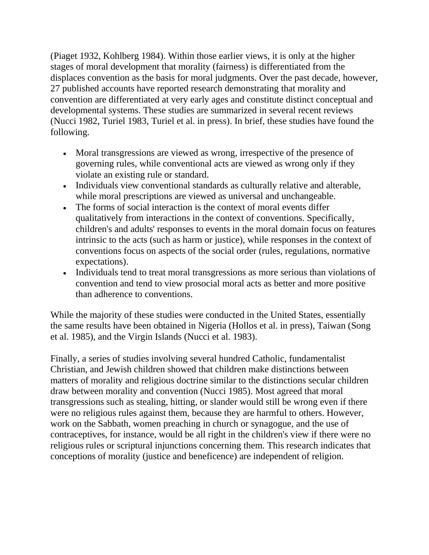(Piaget 1932, Kohlberg 1984). Within those earlier views, it is only at the higher stages of moral development that morality (fairness) is differentiated from the displaces convention as the basis for moral judgments. Over the past decade, however, 27 published accounts have reported research demonstrating that morality and convention are differentiated at very early ages and constitute distinct conceptual and developmental systems. These studies are summarized in several recent reviews (Nucci 1982, Turiel 1983, Turiel et al. in press). In brief, these studies have found the following.

- Moral transgressions are viewed as wrong, irrespective of the presence of governing rules, while conventional acts are viewed as wrong only if they violate an existing rule or standard.
- Individuals view conventional standards as culturally relative and alterable, while moral prescriptions are viewed as universal and unchangeable.
- The forms of social interaction is the context of moral events differ qualitatively from interactions in the context of conventions. Specifically, children's and adults' responses to events in the moral domain focus on features intrinsic to the acts (such as harm or justice), while responses in the context of conventions focus on aspects of the social order (rules, regulations, normative expectations).
- Individuals tend to treat moral transgressions as more serious than violations of convention and tend to view prosocial moral acts as better and more positive than adherence to conventions.

While the majority of these studies were conducted in the United States, essentially the same results have been obtained in Nigeria (Hollos et al. in press), Taiwan (Song et al. 1985), and the Virgin Islands (Nucci et al. 1983).

Finally, a series of studies involving several hundred Catholic, fundamentalist Christian, and Jewish children showed that children make distinctions between matters of morality and religious doctrine similar to the distinctions secular children draw between morality and convention (Nucci 1985). Most agreed that moral transgressions such as stealing, hitting, or slander would still be wrong even if there were no religious rules against them, because they are harmful to others. However, work on the Sabbath, women preaching in church or synagogue, and the use of contraceptives, for instance, would be all right in the children's view if there were no religious rules or scriptural injunctions concerning them. This research indicates that conceptions of morality (justice and beneficence) are independent of religion.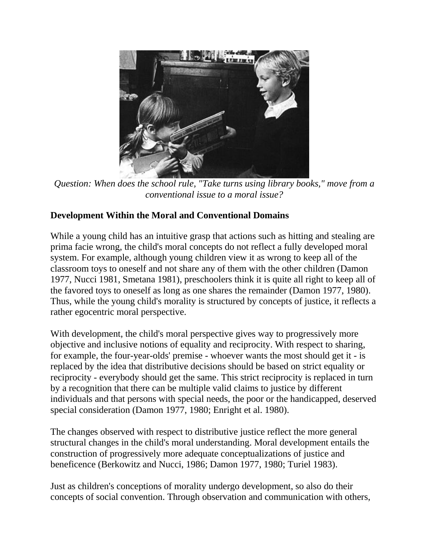

*Question: When does the school rule, "Take turns using library books," move from a conventional issue to a moral issue?*

## **Development Within the Moral and Conventional Domains**

While a young child has an intuitive grasp that actions such as hitting and stealing are prima facie wrong, the child's moral concepts do not reflect a fully developed moral system. For example, although young children view it as wrong to keep all of the classroom toys to oneself and not share any of them with the other children (Damon 1977, Nucci 1981, Smetana 1981), preschoolers think it is quite all right to keep all of the favored toys to oneself as long as one shares the remainder (Damon 1977, 1980). Thus, while the young child's morality is structured by concepts of justice, it reflects a rather egocentric moral perspective.

With development, the child's moral perspective gives way to progressively more objective and inclusive notions of equality and reciprocity. With respect to sharing, for example, the four-year-olds' premise - whoever wants the most should get it - is replaced by the idea that distributive decisions should be based on strict equality or reciprocity - everybody should get the same. This strict reciprocity is replaced in turn by a recognition that there can be multiple valid claims to justice by different individuals and that persons with special needs, the poor or the handicapped, deserved special consideration (Damon 1977, 1980; Enright et al. 1980).

The changes observed with respect to distributive justice reflect the more general structural changes in the child's moral understanding. Moral development entails the construction of progressively more adequate conceptualizations of justice and beneficence (Berkowitz and Nucci, 1986; Damon 1977, 1980; Turiel 1983).

Just as children's conceptions of morality undergo development, so also do their concepts of social convention. Through observation and communication with others,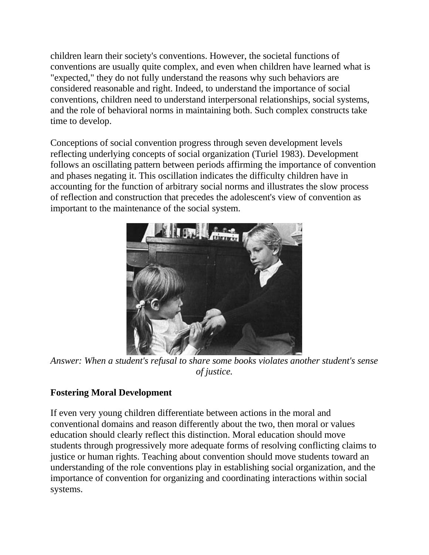children learn their society's conventions. However, the societal functions of conventions are usually quite complex, and even when children have learned what is "expected," they do not fully understand the reasons why such behaviors are considered reasonable and right. Indeed, to understand the importance of social conventions, children need to understand interpersonal relationships, social systems, and the role of behavioral norms in maintaining both. Such complex constructs take time to develop.

Conceptions of social convention progress through seven development levels reflecting underlying concepts of social organization (Turiel 1983). Development follows an oscillating pattern between periods affirming the importance of convention and phases negating it. This oscillation indicates the difficulty children have in accounting for the function of arbitrary social norms and illustrates the slow process of reflection and construction that precedes the adolescent's view of convention as important to the maintenance of the social system.



*Answer: When a student's refusal to share some books violates another student's sense of justice.*

# **Fostering Moral Development**

If even very young children differentiate between actions in the moral and conventional domains and reason differently about the two, then moral or values education should clearly reflect this distinction. Moral education should move students through progressively more adequate forms of resolving conflicting claims to justice or human rights. Teaching about convention should move students toward an understanding of the role conventions play in establishing social organization, and the importance of convention for organizing and coordinating interactions within social systems.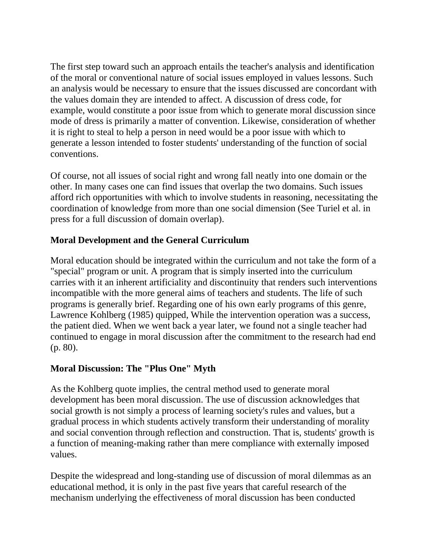The first step toward such an approach entails the teacher's analysis and identification of the moral or conventional nature of social issues employed in values lessons. Such an analysis would be necessary to ensure that the issues discussed are concordant with the values domain they are intended to affect. A discussion of dress code, for example, would constitute a poor issue from which to generate moral discussion since mode of dress is primarily a matter of convention. Likewise, consideration of whether it is right to steal to help a person in need would be a poor issue with which to generate a lesson intended to foster students' understanding of the function of social conventions.

Of course, not all issues of social right and wrong fall neatly into one domain or the other. In many cases one can find issues that overlap the two domains. Such issues afford rich opportunities with which to involve students in reasoning, necessitating the coordination of knowledge from more than one social dimension (See Turiel et al. in press for a full discussion of domain overlap).

## **Moral Development and the General Curriculum**

Moral education should be integrated within the curriculum and not take the form of a "special" program or unit. A program that is simply inserted into the curriculum carries with it an inherent artificiality and discontinuity that renders such interventions incompatible with the more general aims of teachers and students. The life of such programs is generally brief. Regarding one of his own early programs of this genre, Lawrence Kohlberg (1985) quipped, While the intervention operation was a success, the patient died. When we went back a year later, we found not a single teacher had continued to engage in moral discussion after the commitment to the research had end (p. 80).

### **Moral Discussion: The "Plus One" Myth**

As the Kohlberg quote implies, the central method used to generate moral development has been moral discussion. The use of discussion acknowledges that social growth is not simply a process of learning society's rules and values, but a gradual process in which students actively transform their understanding of morality and social convention through reflection and construction. That is, students' growth is a function of meaning-making rather than mere compliance with externally imposed values.

Despite the widespread and long-standing use of discussion of moral dilemmas as an educational method, it is only in the past five years that careful research of the mechanism underlying the effectiveness of moral discussion has been conducted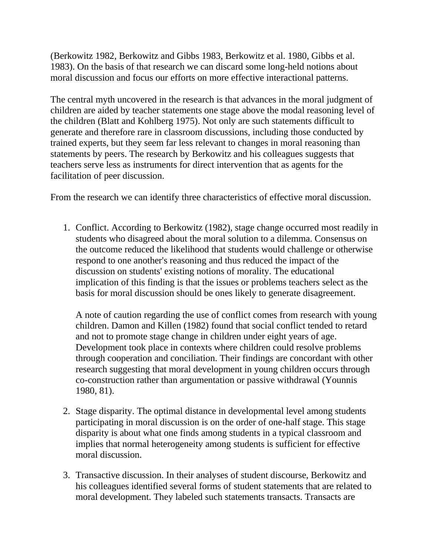(Berkowitz 1982, Berkowitz and Gibbs 1983, Berkowitz et al. 1980, Gibbs et al. 1983). On the basis of that research we can discard some long-held notions about moral discussion and focus our efforts on more effective interactional patterns.

The central myth uncovered in the research is that advances in the moral judgment of children are aided by teacher statements one stage above the modal reasoning level of the children (Blatt and Kohlberg 1975). Not only are such statements difficult to generate and therefore rare in classroom discussions, including those conducted by trained experts, but they seem far less relevant to changes in moral reasoning than statements by peers. The research by Berkowitz and his colleagues suggests that teachers serve less as instruments for direct intervention that as agents for the facilitation of peer discussion.

From the research we can identify three characteristics of effective moral discussion.

1. Conflict. According to Berkowitz (1982), stage change occurred most readily in students who disagreed about the moral solution to a dilemma. Consensus on the outcome reduced the likelihood that students would challenge or otherwise respond to one another's reasoning and thus reduced the impact of the discussion on students' existing notions of morality. The educational implication of this finding is that the issues or problems teachers select as the basis for moral discussion should be ones likely to generate disagreement.

A note of caution regarding the use of conflict comes from research with young children. Damon and Killen (1982) found that social conflict tended to retard and not to promote stage change in children under eight years of age. Development took place in contexts where children could resolve problems through cooperation and conciliation. Their findings are concordant with other research suggesting that moral development in young children occurs through co-construction rather than argumentation or passive withdrawal (Younnis 1980, 81).

- 2. Stage disparity. The optimal distance in developmental level among students participating in moral discussion is on the order of one-half stage. This stage disparity is about what one finds among students in a typical classroom and implies that normal heterogeneity among students is sufficient for effective moral discussion.
- 3. Transactive discussion. In their analyses of student discourse, Berkowitz and his colleagues identified several forms of student statements that are related to moral development. They labeled such statements transacts. Transacts are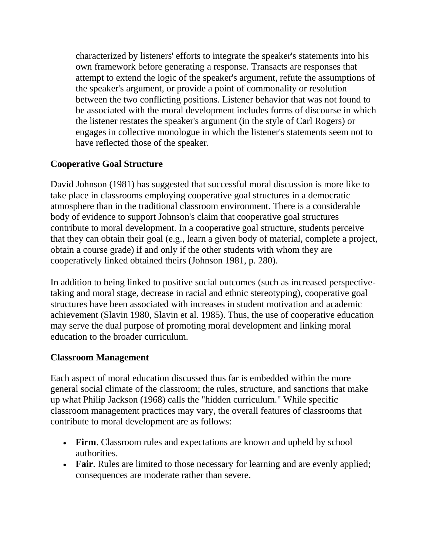characterized by listeners' efforts to integrate the speaker's statements into his own framework before generating a response. Transacts are responses that attempt to extend the logic of the speaker's argument, refute the assumptions of the speaker's argument, or provide a point of commonality or resolution between the two conflicting positions. Listener behavior that was not found to be associated with the moral development includes forms of discourse in which the listener restates the speaker's argument (in the style of Carl Rogers) or engages in collective monologue in which the listener's statements seem not to have reflected those of the speaker.

## **Cooperative Goal Structure**

David Johnson (1981) has suggested that successful moral discussion is more like to take place in classrooms employing cooperative goal structures in a democratic atmosphere than in the traditional classroom environment. There is a considerable body of evidence to support Johnson's claim that cooperative goal structures contribute to moral development. In a cooperative goal structure, students perceive that they can obtain their goal (e.g., learn a given body of material, complete a project, obtain a course grade) if and only if the other students with whom they are cooperatively linked obtained theirs (Johnson 1981, p. 280).

In addition to being linked to positive social outcomes (such as increased perspectivetaking and moral stage, decrease in racial and ethnic stereotyping), cooperative goal structures have been associated with increases in student motivation and academic achievement (Slavin 1980, Slavin et al. 1985). Thus, the use of cooperative education may serve the dual purpose of promoting moral development and linking moral education to the broader curriculum.

### **Classroom Management**

Each aspect of moral education discussed thus far is embedded within the more general social climate of the classroom; the rules, structure, and sanctions that make up what Philip Jackson (1968) calls the "hidden curriculum." While specific classroom management practices may vary, the overall features of classrooms that contribute to moral development are as follows:

- Firm. Classroom rules and expectations are known and upheld by school authorities.
- **Fair**. Rules are limited to those necessary for learning and are evenly applied; consequences are moderate rather than severe.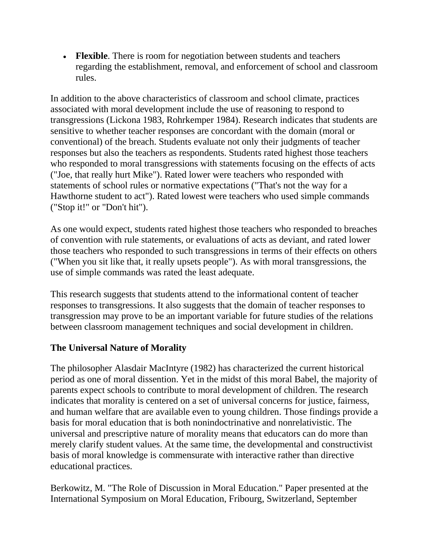**Flexible**. There is room for negotiation between students and teachers regarding the establishment, removal, and enforcement of school and classroom rules.

In addition to the above characteristics of classroom and school climate, practices associated with moral development include the use of reasoning to respond to transgressions (Lickona 1983, Rohrkemper 1984). Research indicates that students are sensitive to whether teacher responses are concordant with the domain (moral or conventional) of the breach. Students evaluate not only their judgments of teacher responses but also the teachers as respondents. Students rated highest those teachers who responded to moral transgressions with statements focusing on the effects of acts ("Joe, that really hurt Mike"). Rated lower were teachers who responded with statements of school rules or normative expectations ("That's not the way for a Hawthorne student to act"). Rated lowest were teachers who used simple commands ("Stop it!" or "Don't hit").

As one would expect, students rated highest those teachers who responded to breaches of convention with rule statements, or evaluations of acts as deviant, and rated lower those teachers who responded to such transgressions in terms of their effects on others ("When you sit like that, it really upsets people"). As with moral transgressions, the use of simple commands was rated the least adequate.

This research suggests that students attend to the informational content of teacher responses to transgressions. It also suggests that the domain of teacher responses to transgression may prove to be an important variable for future studies of the relations between classroom management techniques and social development in children.

# **The Universal Nature of Morality**

The philosopher Alasdair MacIntyre (1982) has characterized the current historical period as one of moral dissention. Yet in the midst of this moral Babel, the majority of parents expect schools to contribute to moral development of children. The research indicates that morality is centered on a set of universal concerns for justice, fairness, and human welfare that are available even to young children. Those findings provide a basis for moral education that is both nonindoctrinative and nonrelativistic. The universal and prescriptive nature of morality means that educators can do more than merely clarify student values. At the same time, the developmental and constructivist basis of moral knowledge is commensurate with interactive rather than directive educational practices.

Berkowitz, M. "The Role of Discussion in Moral Education." Paper presented at the International Symposium on Moral Education, Fribourg, Switzerland, September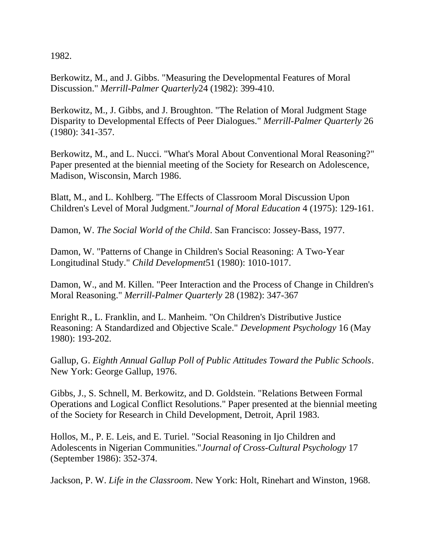1982.

Berkowitz, M., and J. Gibbs. "Measuring the Developmental Features of Moral Discussion." *Merrill-Palmer Quarterly*24 (1982): 399-410.

Berkowitz, M., J. Gibbs, and J. Broughton. "The Relation of Moral Judgment Stage Disparity to Developmental Effects of Peer Dialogues." *Merrill-Palmer Quarterly* 26 (1980): 341-357.

Berkowitz, M., and L. Nucci. "What's Moral About Conventional Moral Reasoning?" Paper presented at the biennial meeting of the Society for Research on Adolescence, Madison, Wisconsin, March 1986.

Blatt, M., and L. Kohlberg. "The Effects of Classroom Moral Discussion Upon Children's Level of Moral Judgment."*Journal of Moral Education* 4 (1975): 129-161.

Damon, W. *The Social World of the Child*. San Francisco: Jossey-Bass, 1977.

Damon, W. "Patterns of Change in Children's Social Reasoning: A Two-Year Longitudinal Study." *Child Development*51 (1980): 1010-1017.

Damon, W., and M. Killen. "Peer Interaction and the Process of Change in Children's Moral Reasoning." *Merrill-Palmer Quarterly* 28 (1982): 347-367

Enright R., L. Franklin, and L. Manheim. "On Children's Distributive Justice Reasoning: A Standardized and Objective Scale." *Development Psychology* 16 (May 1980): 193-202.

Gallup*,* G. *Eighth Annual Gallup Poll of Public Attitudes Toward the Public Schools*. New York: George Gallup, 1976.

Gibbs, J., S. Schnell, M. Berkowitz, and D. Goldstein. "Relations Between Formal Operations and Logical Conflict Resolutions." Paper presented at the biennial meeting of the Society for Research in Child Development, Detroit, April 1983.

Hollos, M., P. E. Leis, and E. Turiel. "Social Reasoning in Ijo Children and Adolescents in Nigerian Communities."*Journal of Cross-Cultural Psychology* 17 (September 1986): 352-374.

Jackson, P. W. *Life in the Classroom*. New York: Holt, Rinehart and Winston, 1968.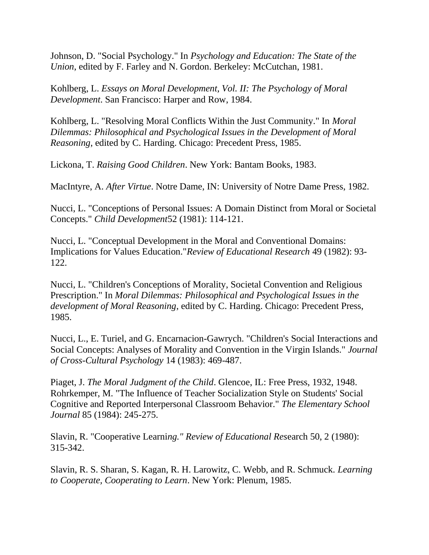Johnson, D. "Social Psychology." In *Psychology and Education: The State of the Union*, edited by F. Farley and N. Gordon. Berkeley: McCutchan, 1981.

Kohlberg, L. *Essays on Moral Development, Vol. II: The Psychology of Moral Development*. San Francisco: Harper and Row, 1984.

Kohlberg, L. "Resolving Moral Conflicts Within the Just Community." In *Moral Dilemmas: Philosophical and Psychological Issues in the Development of Moral Reasoning*, edited by C. Harding. Chicago: Precedent Press, 1985.

Lickona, T. *Raising Good Children*. New York: Bantam Books, 1983.

MacIntyre, A. *After Virtue*. Notre Dame, IN: University of Notre Dame Press, 1982.

Nucci, L. "Conceptions of Personal Issues: A Domain Distinct from Moral or Societal Concepts." *Child Development*52 (1981): 114-121.

Nucci, L. "Conceptual Development in the Moral and Conventional Domains: Implications for Values Education."*Review of Educational Research* 49 (1982): 93- 122.

Nucci, L. "Children's Conceptions of Morality, Societal Convention and Religious Prescription." In *Moral Dilemmas: Philosophical and Psychological Issues in the development of Moral Reasoning*, edited by C. Harding. Chicago: Precedent Press, 1985.

Nucci, L., E. Turiel, and G. Encarnacion-Gawrych. "Children's Social Interactions and Social Concepts: Analyses of Morality and Convention in the Virgin Islands." *Journal of Cross-Cultural Psychology* 14 (1983): 469-487.

Piaget, J. *The Moral Judgment of the Child*. Glencoe, IL: Free Press, 1932, 1948. Rohrkemper, M. "The Influence of Teacher Socialization Style on Students' Social Cognitive and Reported Interpersonal Classroom Behavior." *The Elementary School Journal* 85 (1984): 245-275.

Slavin, R. "Cooperative Learni*ng." Review of Educational Res*earch 50, 2 (1980): 315-342.

Slavin, R. S. Sharan, S. Kagan, R. H. Larowitz, C. Webb, and R. Schmuck. *Learning to Cooperate, Cooperating to Learn*. New York: Plenum, 1985.